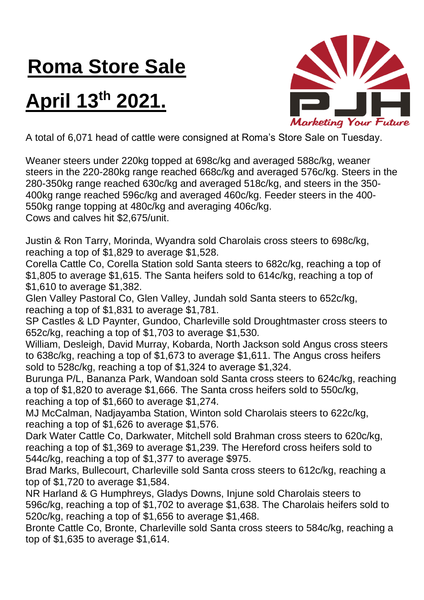## **Roma Store Sale**

## **April 13th 2021.**



A total of 6,071 head of cattle were consigned at Roma's Store Sale on Tuesday.

Weaner steers under 220kg topped at 698c/kg and averaged 588c/kg, weaner steers in the 220-280kg range reached 668c/kg and averaged 576c/kg. Steers in the 280-350kg range reached 630c/kg and averaged 518c/kg, and steers in the 350- 400kg range reached 596c/kg and averaged 460c/kg. Feeder steers in the 400- 550kg range topping at 480c/kg and averaging 406c/kg. Cows and calves hit \$2,675/unit.

Justin & Ron Tarry, Morinda, Wyandra sold Charolais cross steers to 698c/kg, reaching a top of \$1,829 to average \$1,528.

Corella Cattle Co, Corella Station sold Santa steers to 682c/kg, reaching a top of \$1,805 to average \$1,615. The Santa heifers sold to 614c/kg, reaching a top of \$1,610 to average \$1,382.

Glen Valley Pastoral Co, Glen Valley, Jundah sold Santa steers to 652c/kg, reaching a top of \$1,831 to average \$1,781.

SP Castles & LD Paynter, Gundoo, Charleville sold Droughtmaster cross steers to 652c/kg, reaching a top of \$1,703 to average \$1,530.

William, Desleigh, David Murray, Kobarda, North Jackson sold Angus cross steers to 638c/kg, reaching a top of \$1,673 to average \$1,611. The Angus cross heifers sold to 528c/kg, reaching a top of \$1,324 to average \$1,324.

Burunga P/L, Bananza Park, Wandoan sold Santa cross steers to 624c/kg, reaching a top of \$1,820 to average \$1,666. The Santa cross heifers sold to 550c/kg, reaching a top of \$1,660 to average \$1,274.

MJ McCalman, Nadjayamba Station, Winton sold Charolais steers to 622c/kg, reaching a top of \$1,626 to average \$1,576.

Dark Water Cattle Co, Darkwater, Mitchell sold Brahman cross steers to 620c/kg, reaching a top of \$1,369 to average \$1,239. The Hereford cross heifers sold to 544c/kg, reaching a top of \$1,377 to average \$975.

Brad Marks, Bullecourt, Charleville sold Santa cross steers to 612c/kg, reaching a top of \$1,720 to average \$1,584.

NR Harland & G Humphreys, Gladys Downs, Injune sold Charolais steers to 596c/kg, reaching a top of \$1,702 to average \$1,638. The Charolais heifers sold to 520c/kg, reaching a top of \$1,656 to average \$1,468.

Bronte Cattle Co, Bronte, Charleville sold Santa cross steers to 584c/kg, reaching a top of \$1,635 to average \$1,614.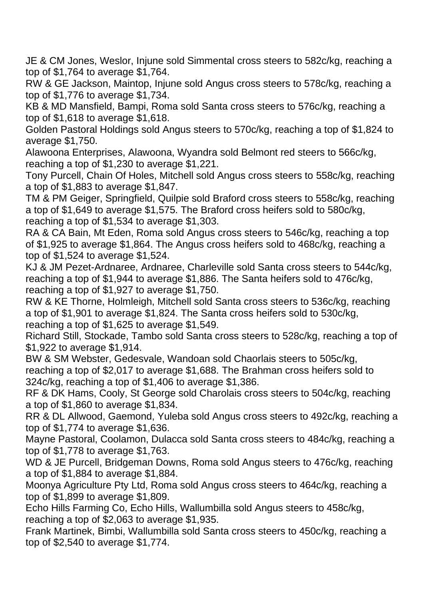JE & CM Jones, Weslor, Injune sold Simmental cross steers to 582c/kg, reaching a top of \$1,764 to average \$1,764.

RW & GE Jackson, Maintop, Injune sold Angus cross steers to 578c/kg, reaching a top of \$1,776 to average \$1,734.

KB & MD Mansfield, Bampi, Roma sold Santa cross steers to 576c/kg, reaching a top of \$1,618 to average \$1,618.

Golden Pastoral Holdings sold Angus steers to 570c/kg, reaching a top of \$1,824 to average \$1,750.

Alawoona Enterprises, Alawoona, Wyandra sold Belmont red steers to 566c/kg, reaching a top of \$1,230 to average \$1,221.

Tony Purcell, Chain Of Holes, Mitchell sold Angus cross steers to 558c/kg, reaching a top of \$1,883 to average \$1,847.

TM & PM Geiger, Springfield, Quilpie sold Braford cross steers to 558c/kg, reaching a top of \$1,649 to average \$1,575. The Braford cross heifers sold to 580c/kg, reaching a top of \$1,534 to average \$1,303.

RA & CA Bain, Mt Eden, Roma sold Angus cross steers to 546c/kg, reaching a top of \$1,925 to average \$1,864. The Angus cross heifers sold to 468c/kg, reaching a top of \$1,524 to average \$1,524.

KJ & JM Pezet-Ardnaree, Ardnaree, Charleville sold Santa cross steers to 544c/kg, reaching a top of \$1,944 to average \$1,886. The Santa heifers sold to 476c/kg, reaching a top of \$1,927 to average \$1,750.

RW & KE Thorne, Holmleigh, Mitchell sold Santa cross steers to 536c/kg, reaching a top of \$1,901 to average \$1,824. The Santa cross heifers sold to 530c/kg, reaching a top of \$1,625 to average \$1,549.

Richard Still, Stockade, Tambo sold Santa cross steers to 528c/kg, reaching a top of \$1,922 to average \$1,914.

BW & SM Webster, Gedesvale, Wandoan sold Chaorlais steers to 505c/kg, reaching a top of \$2,017 to average \$1,688. The Brahman cross heifers sold to 324c/kg, reaching a top of \$1,406 to average \$1,386.

RF & DK Hams, Cooly, St George sold Charolais cross steers to 504c/kg, reaching a top of \$1,860 to average \$1,834.

RR & DL Allwood, Gaemond, Yuleba sold Angus cross steers to 492c/kg, reaching a top of \$1,774 to average \$1,636.

Mayne Pastoral, Coolamon, Dulacca sold Santa cross steers to 484c/kg, reaching a top of \$1,778 to average \$1,763.

WD & JE Purcell, Bridgeman Downs, Roma sold Angus steers to 476c/kg, reaching a top of \$1,884 to average \$1,884.

Moonya Agriculture Pty Ltd, Roma sold Angus cross steers to 464c/kg, reaching a top of \$1,899 to average \$1,809.

Echo Hills Farming Co, Echo Hills, Wallumbilla sold Angus steers to 458c/kg, reaching a top of \$2,063 to average \$1,935.

Frank Martinek, Bimbi, Wallumbilla sold Santa cross steers to 450c/kg, reaching a top of \$2,540 to average \$1,774.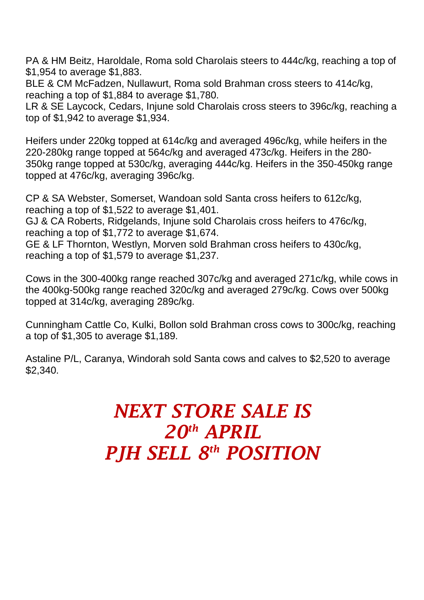PA & HM Beitz, Haroldale, Roma sold Charolais steers to 444c/kg, reaching a top of \$1,954 to average \$1,883.

BLE & CM McFadzen, Nullawurt, Roma sold Brahman cross steers to 414c/kg, reaching a top of \$1,884 to average \$1,780.

LR & SE Laycock, Cedars, Injune sold Charolais cross steers to 396c/kg, reaching a top of \$1,942 to average \$1,934.

Heifers under 220kg topped at 614c/kg and averaged 496c/kg, while heifers in the 220-280kg range topped at 564c/kg and averaged 473c/kg. Heifers in the 280- 350kg range topped at 530c/kg, averaging 444c/kg. Heifers in the 350-450kg range topped at 476c/kg, averaging 396c/kg.

CP & SA Webster, Somerset, Wandoan sold Santa cross heifers to 612c/kg, reaching a top of \$1,522 to average \$1,401.

GJ & CA Roberts, Ridgelands, Injune sold Charolais cross heifers to 476c/kg, reaching a top of \$1,772 to average \$1,674.

GE & LF Thornton, Westlyn, Morven sold Brahman cross heifers to 430c/kg, reaching a top of \$1,579 to average \$1,237.

Cows in the 300-400kg range reached 307c/kg and averaged 271c/kg, while cows in the 400kg-500kg range reached 320c/kg and averaged 279c/kg. Cows over 500kg topped at 314c/kg, averaging 289c/kg.

Cunningham Cattle Co, Kulki, Bollon sold Brahman cross cows to 300c/kg, reaching a top of \$1,305 to average \$1,189.

Astaline P/L, Caranya, Windorah sold Santa cows and calves to \$2,520 to average \$2,340.

## *NEXT STORE SALE IS 20 th APRIL PJH SELL 8 th POSITION*